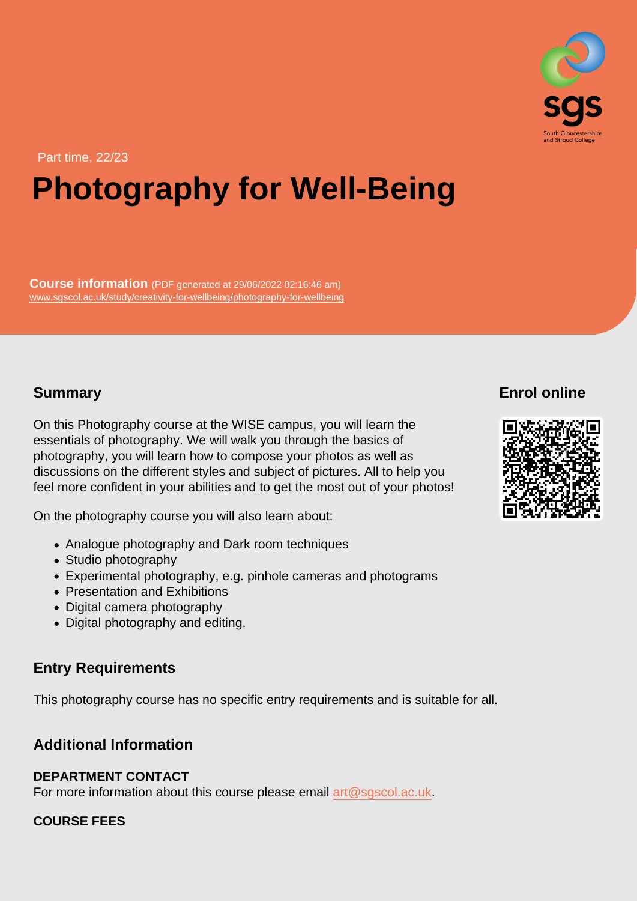# Part time, 22/23 Photography for Well-Being

Course information (PDF generated at 29/06/2022 02:16:46 am) [www.sgscol.ac.uk/study/creativity-for-wellbeing/photography-for-wellbeing](https://www.sgscol.ac.uk/study/creativity-for-wellbeing/photography-for-wellbeing)

## Summary

Enrol online

On this Photography course at the WISE campus, you will learn the essentials of photography. We will walk you through the basics of photography, you will learn how to compose your photos as well as discussions on the different styles and subject of pictures. All to help you feel more confident in your abilities and to get the most out of your photos!

On the photography course you will also learn about:

- Analogue photography and Dark room techniques
- Studio photography
- Experimental photography, e.g. pinhole cameras and photograms
- Presentation and Exhibitions
- Digital camera photography
- Digital photography and editing.

## Entry Requirements

This photography course has no specific entry requirements and is suitable for all.

### Additional Information

## DEPARTMENT CONTACT

For more information about this course please email [art@sgscol.ac.uk](mailto:art@sgscol.ac.uk).

### COURSE FEES